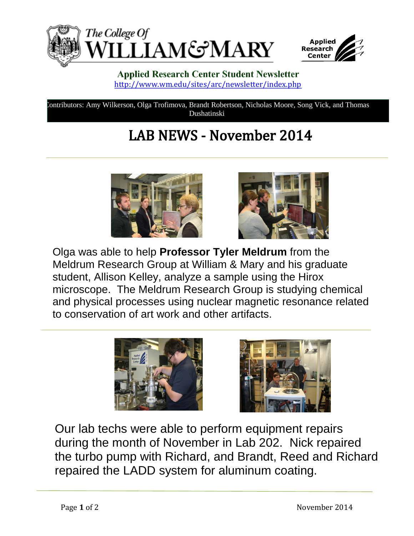



## **Applied Research Center Student Newsletter** <http://www.wm.edu/sites/arc/newsletter/index.php>

Contributors: Amy Wilkerson, Olga Trofimova, Brandt Robertson, Nicholas Moore, Song Vick, and Thomas Dushatinski

## **LAB NEWS - November 2014**





Olga was able to help **Professor Tyler Meldrum** from the Meldrum Research Group at William & Mary and his graduate student, Allison Kelley, analyze a sample using the Hirox microscope. The Meldrum Research Group is studying chemical and physical processes using nuclear magnetic resonance related to conservation of art work and other artifacts.





Our lab techs were able to perform equipment repairs during the month of November in Lab 202. Nick repaired the turbo pump with Richard, and Brandt, Reed and Richard repaired the LADD system for aluminum coating.